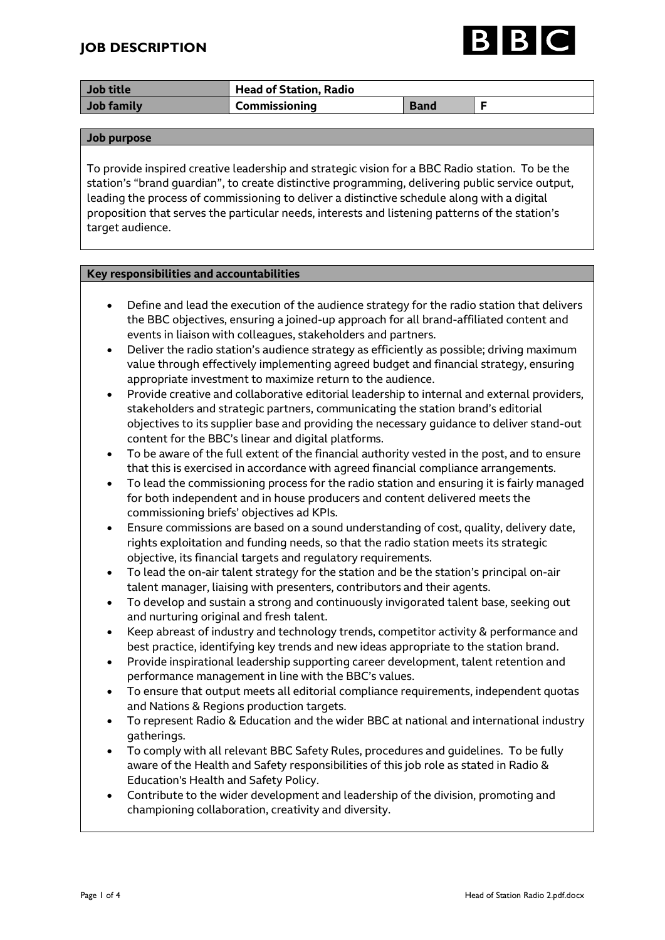

| Job title  | Head of Station, Radio |             |  |
|------------|------------------------|-------------|--|
| Job family | Commissioning          | <b>Band</b> |  |

## **Job purpose**

To provide inspired creative leadership and strategic vision for a BBC Radio station. To be the station's "brand guardian", to create distinctive programming, delivering public service output, leading the process of commissioning to deliver a distinctive schedule along with a digital proposition that serves the particular needs, interests and listening patterns of the station's target audience.

## **Key responsibilities and accountabilities**

- Define and lead the execution of the audience strategy for the radio station that delivers the BBC objectives, ensuring a joined-up approach for all brand-affiliated content and events in liaison with colleagues, stakeholders and partners.
- Deliver the radio station's audience strategy as efficiently as possible; driving maximum value through effectively implementing agreed budget and financial strategy, ensuring appropriate investment to maximize return to the audience.
- Provide creative and collaborative editorial leadership to internal and external providers, stakeholders and strategic partners, communicating the station brand's editorial objectives to its supplier base and providing the necessary guidance to deliver stand-out content for the BBC's linear and digital platforms.
- To be aware of the full extent of the financial authority vested in the post, and to ensure that this is exercised in accordance with agreed financial compliance arrangements.
- To lead the commissioning process for the radio station and ensuring it is fairly managed for both independent and in house producers and content delivered meets the commissioning briefs' objectives ad KPIs.
- Ensure commissions are based on a sound understanding of cost, quality, delivery date, rights exploitation and funding needs, so that the radio station meets its strategic objective, its financial targets and regulatory requirements.
- To lead the on-air talent strategy for the station and be the station's principal on-air talent manager, liaising with presenters, contributors and their agents.
- To develop and sustain a strong and continuously invigorated talent base, seeking out and nurturing original and fresh talent.
- Keep abreast of industry and technology trends, competitor activity & performance and best practice, identifying key trends and new ideas appropriate to the station brand.
- Provide inspirational leadership supporting career development, talent retention and performance management in line with the BBC's values.
- To ensure that output meets all editorial compliance requirements, independent quotas and Nations & Regions production targets.
- To represent Radio & Education and the wider BBC at national and international industry gatherings.
- To comply with all relevant BBC Safety Rules, procedures and guidelines. To be fully aware of the Health and Safety responsibilities of this job role as stated in Radio & Education's Health and Safety Policy.
- Contribute to the wider development and leadership of the division, promoting and championing collaboration, creativity and diversity.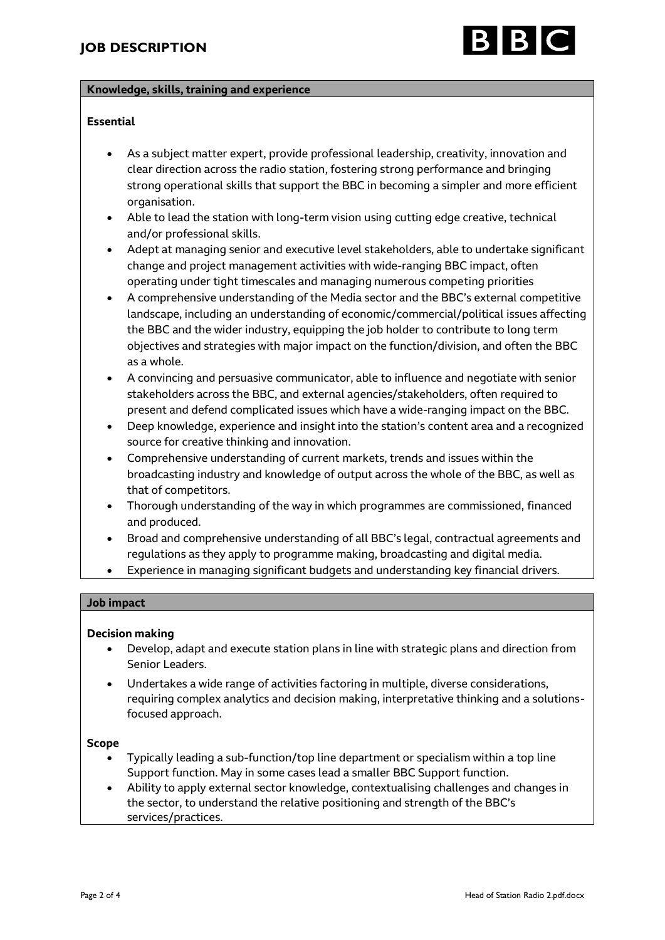

#### **Knowledge, skills, training and experience**

## **Essential**

- As a subject matter expert, provide professional leadership, creativity, innovation and clear direction across the radio station, fostering strong performance and bringing strong operational skills that support the BBC in becoming a simpler and more efficient organisation.
- Able to lead the station with long-term vision using cutting edge creative, technical and/or professional skills.
- Adept at managing senior and executive level stakeholders, able to undertake significant change and project management activities with wide-ranging BBC impact, often operating under tight timescales and managing numerous competing priorities
- A comprehensive understanding of the Media sector and the BBC's external competitive landscape, including an understanding of economic/commercial/political issues affecting the BBC and the wider industry, equipping the job holder to contribute to long term objectives and strategies with major impact on the function/division, and often the BBC as a whole.
- A convincing and persuasive communicator, able to influence and negotiate with senior stakeholders across the BBC, and external agencies/stakeholders, often required to present and defend complicated issues which have a wide-ranging impact on the BBC.
- Deep knowledge, experience and insight into the station's content area and a recognized source for creative thinking and innovation.
- Comprehensive understanding of current markets, trends and issues within the broadcasting industry and knowledge of output across the whole of the BBC, as well as that of competitors.
- Thorough understanding of the way in which programmes are commissioned, financed and produced.
- Broad and comprehensive understanding of all BBC's legal, contractual agreements and regulations as they apply to programme making, broadcasting and digital media.
- Experience in managing significant budgets and understanding key financial drivers.

## **Job impact**

## **Decision making**

- Develop, adapt and execute station plans in line with strategic plans and direction from Senior Leaders.
- Undertakes a wide range of activities factoring in multiple, diverse considerations, requiring complex analytics and decision making, interpretative thinking and a solutionsfocused approach.

## **Scope**

- Typically leading a sub-function/top line department or specialism within a top line Support function. May in some cases lead a smaller BBC Support function.
- Ability to apply external sector knowledge, contextualising challenges and changes in the sector, to understand the relative positioning and strength of the BBC's services/practices.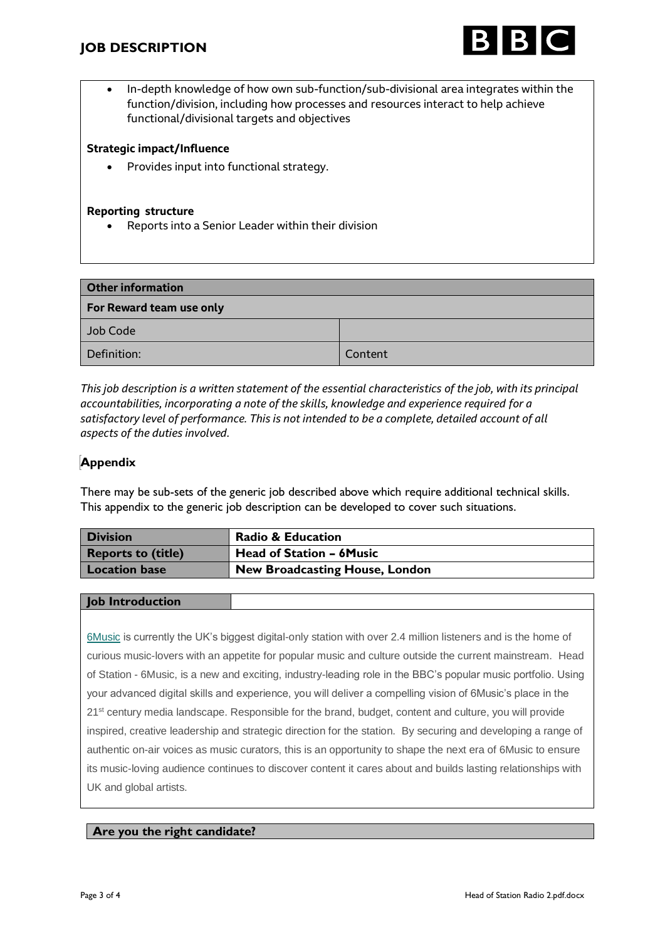

• In-depth knowledge of how own sub-function/sub-divisional area integrates within the function/division, including how processes and resources interact to help achieve functional/divisional targets and objectives

## **Strategic impact/Influence**

• Provides input into functional strategy.

## **Reporting structure**

• Reports into a Senior Leader within their division

| <b>Other information</b> |         |  |  |
|--------------------------|---------|--|--|
| For Reward team use only |         |  |  |
| Job Code                 |         |  |  |
| Definition:              | Content |  |  |

*This job description is a written statement of the essential characteristics of the job, with its principal accountabilities, incorporating a note of the skills, knowledge and experience required for a satisfactory level of performance. This is not intended to be a complete, detailed account of all aspects of the duties involved.*

## **Appendix**

There may be sub-sets of the generic job described above which require additional technical skills. This appendix to the generic job description can be developed to cover such situations.

| <b>Division</b>           | <b>Radio &amp; Education</b>          |
|---------------------------|---------------------------------------|
| <b>Reports to (title)</b> | <b>Head of Station - 6Music</b>       |
| <b>Location base</b>      | <b>New Broadcasting House, London</b> |

#### **Job Introduction**

[6Music](https://www.bbc.co.uk/6music) is currently the UK's biggest digital-only station with over 2.4 million listeners and is the home of curious music-lovers with an appetite for popular music and culture outside the current mainstream. Head of Station - 6Music, is a new and exciting, industry-leading role in the BBC's popular music portfolio. Using your advanced digital skills and experience, you will deliver a compelling vision of 6Music's place in the 21<sup>st</sup> century media landscape. Responsible for the brand, budget, content and culture, you will provide inspired, creative leadership and strategic direction for the station. By securing and developing a range of authentic on-air voices as music curators, this is an opportunity to shape the next era of 6Music to ensure its music-loving audience continues to discover content it cares about and builds lasting relationships with UK and global artists.

## **Are you the right candidate?**